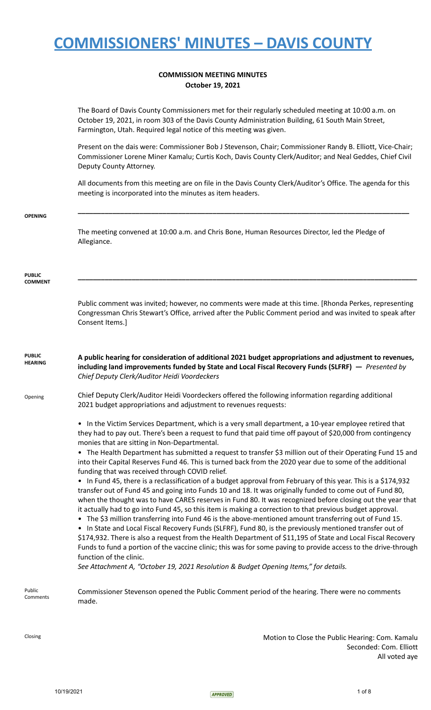### **COMMISSION MEETING MINUTES October 19, 2021**

|                                 | The Board of Davis County Commissioners met for their regularly scheduled meeting at 10:00 a.m. on<br>October 19, 2021, in room 303 of the Davis County Administration Building, 61 South Main Street,<br>Farmington, Utah. Required legal notice of this meeting was given.                                                                                                                                                                                                                                                                                                                                                                                                                                                                                                                                                                                                                                                                                                                                                     |
|---------------------------------|----------------------------------------------------------------------------------------------------------------------------------------------------------------------------------------------------------------------------------------------------------------------------------------------------------------------------------------------------------------------------------------------------------------------------------------------------------------------------------------------------------------------------------------------------------------------------------------------------------------------------------------------------------------------------------------------------------------------------------------------------------------------------------------------------------------------------------------------------------------------------------------------------------------------------------------------------------------------------------------------------------------------------------|
|                                 | Present on the dais were: Commissioner Bob J Stevenson, Chair; Commissioner Randy B. Elliott, Vice-Chair;<br>Commissioner Lorene Miner Kamalu; Curtis Koch, Davis County Clerk/Auditor; and Neal Geddes, Chief Civil<br>Deputy County Attorney.                                                                                                                                                                                                                                                                                                                                                                                                                                                                                                                                                                                                                                                                                                                                                                                  |
|                                 | All documents from this meeting are on file in the Davis County Clerk/Auditor's Office. The agenda for this<br>meeting is incorporated into the minutes as item headers.                                                                                                                                                                                                                                                                                                                                                                                                                                                                                                                                                                                                                                                                                                                                                                                                                                                         |
| <b>OPENING</b>                  |                                                                                                                                                                                                                                                                                                                                                                                                                                                                                                                                                                                                                                                                                                                                                                                                                                                                                                                                                                                                                                  |
|                                 | The meeting convened at 10:00 a.m. and Chris Bone, Human Resources Director, led the Pledge of<br>Allegiance.                                                                                                                                                                                                                                                                                                                                                                                                                                                                                                                                                                                                                                                                                                                                                                                                                                                                                                                    |
| <b>PUBLIC</b><br><b>COMMENT</b> |                                                                                                                                                                                                                                                                                                                                                                                                                                                                                                                                                                                                                                                                                                                                                                                                                                                                                                                                                                                                                                  |
|                                 | Public comment was invited; however, no comments were made at this time. [Rhonda Perkes, representing<br>Congressman Chris Stewart's Office, arrived after the Public Comment period and was invited to speak after<br>Consent Items.]                                                                                                                                                                                                                                                                                                                                                                                                                                                                                                                                                                                                                                                                                                                                                                                           |
| <b>PUBLIC</b><br><b>HEARING</b> | A public hearing for consideration of additional 2021 budget appropriations and adjustment to revenues,<br>including land improvements funded by State and Local Fiscal Recovery Funds (SLFRF) $-$ Presented by<br>Chief Deputy Clerk/Auditor Heidi Voordeckers                                                                                                                                                                                                                                                                                                                                                                                                                                                                                                                                                                                                                                                                                                                                                                  |
| Opening                         | Chief Deputy Clerk/Auditor Heidi Voordeckers offered the following information regarding additional<br>2021 budget appropriations and adjustment to revenues requests:                                                                                                                                                                                                                                                                                                                                                                                                                                                                                                                                                                                                                                                                                                                                                                                                                                                           |
|                                 | In the Victim Services Department, which is a very small department, a 10-year employee retired that<br>they had to pay out. There's been a request to fund that paid time off payout of \$20,000 from contingency<br>monies that are sitting in Non-Departmental.                                                                                                                                                                                                                                                                                                                                                                                                                                                                                                                                                                                                                                                                                                                                                               |
|                                 | • The Health Department has submitted a request to transfer \$3 million out of their Operating Fund 15 and<br>into their Capital Reserves Fund 46. This is turned back from the 2020 year due to some of the additional<br>funding that was received through COVID relief.                                                                                                                                                                                                                                                                                                                                                                                                                                                                                                                                                                                                                                                                                                                                                       |
|                                 | • In Fund 45, there is a reclassification of a budget approval from February of this year. This is a \$174,932<br>transfer out of Fund 45 and going into Funds 10 and 18. It was originally funded to come out of Fund 80,<br>when the thought was to have CARES reserves in Fund 80. It was recognized before closing out the year that<br>it actually had to go into Fund 45, so this item is making a correction to that previous budget approval.<br>• The \$3 million transferring into Fund 46 is the above-mentioned amount transferring out of Fund 15.<br>• In State and Local Fiscal Recovery Funds (SLFRF), Fund 80, is the previously mentioned transfer out of<br>\$174,932. There is also a request from the Health Department of \$11,195 of State and Local Fiscal Recovery<br>Funds to fund a portion of the vaccine clinic; this was for some paving to provide access to the drive-through<br>function of the clinic.<br>See Attachment A, "October 19, 2021 Resolution & Budget Opening Items," for details. |
| Public<br>Comments              | Commissioner Stevenson opened the Public Comment period of the hearing. There were no comments<br>made.                                                                                                                                                                                                                                                                                                                                                                                                                                                                                                                                                                                                                                                                                                                                                                                                                                                                                                                          |

Closing Closing Closing Closing Closing Closing Closing Closing Closing Closing Closing Com. Kamalu Seconded: Com. Elliott All voted aye

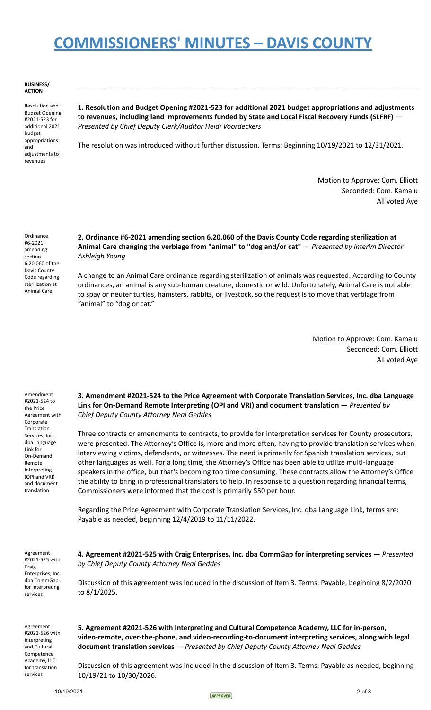#### **BUSINESS/ ACTION**

Resolution and Budget Opening #2021-523 for additional 2021 budget appropriations and adjustments to revenues

**1. Resolution and Budget Opening #2021-523 for additional 2021 budget appropriations and adjustments to revenues, including land improvements funded by State and Local Fiscal Recovery Funds (SLFRF)** — *Presented by Chief Deputy Clerk/Auditor Heidi Voordeckers*

**\_\_\_\_\_\_\_\_\_\_\_\_\_\_\_\_\_\_\_\_\_\_\_\_\_\_\_\_\_\_\_\_\_\_\_\_\_\_\_\_\_\_\_\_\_\_\_\_\_\_\_\_\_\_\_\_\_\_\_\_\_\_\_\_\_\_\_\_\_\_\_\_\_\_\_\_\_\_\_\_\_\_\_\_\_\_\_\_**

The resolution was introduced without further discussion. Terms: Beginning 10/19/2021 to 12/31/2021.

Motion to Approve: Com. Elliott Seconded: Com. Kamalu All voted Aye

**Ordinance** #6-2021 amending section 6.20.060 of the Davis County Code regarding sterilization at Animal Care

### **2. Ordinance #6-2021 amending section 6.20.060 of the Davis County Code regarding sterilization at Animal Care changing the verbiage from "animal" to "dog and/or cat"** — *Presented by Interim Director Ashleigh Young*

A change to an Animal Care ordinance regarding sterilization of animals was requested. According to County ordinances, an animal is any sub-human creature, domestic or wild. Unfortunately, Animal Care is not able to spay or neuter turtles, hamsters, rabbits, or livestock, so the request is to move that verbiage from "animal" to "dog or cat."

> Motion to Approve: Com. Kamalu Seconded: Com. Elliott All voted Aye

Amendment #2021-524 to the Price Agreement with Corporate Translation Services, Inc. dba Language Link for On-Demand Remote Interpreting (OPI and VRI) and document translation

**3. Amendment #2021-524 to the Price Agreement with Corporate Translation Services, Inc. dba Language Link for On-Demand Remote Interpreting (OPI and VRI) and document translation** — *Presented by Chief Deputy County Attorney Neal Geddes*

Three contracts or amendments to contracts, to provide for interpretation services for County prosecutors, were presented. The Attorney's Office is, more and more often, having to provide translation services when interviewing victims, defendants, or witnesses. The need is primarily for Spanish translation services, but other languages as well. For a long time, the Attorney's Office has been able to utilize multi-language speakers in the office, but that's becoming too time consuming. These contracts allow the Attorney's Office the ability to bring in professional translators to help. In response to a question regarding financial terms, Commissioners were informed that the cost is primarily \$50 per hour.

Regarding the Price Agreement with Corporate Translation Services, Inc. dba Language Link, terms are: Payable as needed, beginning 12/4/2019 to 11/11/2022.

Agreement #2021-525 with Craig Enterprises, Inc. dba CommGap for interpreting services

Agreement #2021-526 with Interpreting and Cultural Competence Academy, LLC for translation services

**4. Agreement #2021-525 with Craig Enterprises, Inc. dba CommGap for interpreting services** — *Presented by Chief Deputy County Attorney Neal Geddes*

Discussion of this agreement was included in the discussion of Item 3. Terms: Payable, beginning 8/2/2020 to 8/1/2025.

**5. Agreement #2021-526 with Interpreting and Cultural Competence Academy, LLC for in-person, video-remote, over-the-phone, and video-recording-to-document interpreting services, along with legal document translation services** — *Presented by Chief Deputy County Attorney Neal Geddes*

Discussion of this agreement was included in the discussion of Item 3. Terms: Payable as needed, beginning 10/19/21 to 10/30/2026.

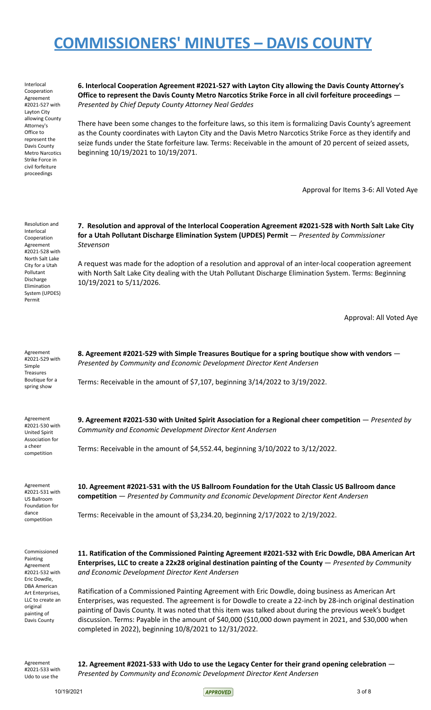*Presented by Chief Deputy County Attorney Neal Geddes*

**6. Interlocal Cooperation Agreement #2021-527 with Layton City allowing the Davis County Attorney's Office to represent the Davis County Metro Narcotics Strike Force in all civil forfeiture proceedings** —

| Layton City<br>allowing County<br>Attorney's<br>Office to<br>represent the<br>Davis County<br><b>Metro Narcotics</b><br>Strike Force in<br>civil forfeiture<br>proceedings | There have been some changes to the forfeiture laws, so this item is formalizing Davis County's agreement<br>as the County coordinates with Layton City and the Davis Metro Narcotics Strike Force as they identify and<br>seize funds under the State forfeiture law. Terms: Receivable in the amount of 20 percent of seized assets,<br>beginning 10/19/2021 to 10/19/2071.                                                                                                                     |
|----------------------------------------------------------------------------------------------------------------------------------------------------------------------------|---------------------------------------------------------------------------------------------------------------------------------------------------------------------------------------------------------------------------------------------------------------------------------------------------------------------------------------------------------------------------------------------------------------------------------------------------------------------------------------------------|
|                                                                                                                                                                            | Approval for Items 3-6: All Voted Aye                                                                                                                                                                                                                                                                                                                                                                                                                                                             |
| Resolution and<br>Interlocal<br>Cooperation<br>Agreement<br>#2021-528 with                                                                                                 | 7. Resolution and approval of the Interlocal Cooperation Agreement #2021-528 with North Salt Lake City<br>for a Utah Pollutant Discharge Elimination System (UPDES) Permit - Presented by Commissioner<br><b>Stevenson</b>                                                                                                                                                                                                                                                                        |
| North Salt Lake<br>City for a Utah<br>Pollutant<br>Discharge<br>Elimination<br>System (UPDES)<br>Permit                                                                    | A request was made for the adoption of a resolution and approval of an inter-local cooperation agreement<br>with North Salt Lake City dealing with the Utah Pollutant Discharge Elimination System. Terms: Beginning<br>10/19/2021 to 5/11/2026.                                                                                                                                                                                                                                                  |
|                                                                                                                                                                            | Approval: All Voted Aye                                                                                                                                                                                                                                                                                                                                                                                                                                                                           |
| Agreement<br>#2021-529 with<br>Simple<br><b>Treasures</b>                                                                                                                  | 8. Agreement #2021-529 with Simple Treasures Boutique for a spring boutique show with vendors -<br>Presented by Community and Economic Development Director Kent Andersen                                                                                                                                                                                                                                                                                                                         |
| Boutique for a<br>spring show                                                                                                                                              | Terms: Receivable in the amount of \$7,107, beginning 3/14/2022 to 3/19/2022.                                                                                                                                                                                                                                                                                                                                                                                                                     |
| Agreement<br>#2021-530 with<br>United Spirit<br>Association for                                                                                                            | 9. Agreement #2021-530 with United Spirit Association for a Regional cheer competition - Presented by<br>Community and Economic Development Director Kent Andersen                                                                                                                                                                                                                                                                                                                                |
| a cheer<br>competition                                                                                                                                                     | Terms: Receivable in the amount of \$4,552.44, beginning 3/10/2022 to 3/12/2022.                                                                                                                                                                                                                                                                                                                                                                                                                  |
| Agreement<br>#2021-531 with<br>US Ballroom<br>Foundation for                                                                                                               | 10. Agreement #2021-531 with the US Ballroom Foundation for the Utah Classic US Ballroom dance<br>competition - Presented by Community and Economic Development Director Kent Andersen                                                                                                                                                                                                                                                                                                            |
| dance<br>competition                                                                                                                                                       | Terms: Receivable in the amount of \$3,234.20, beginning 2/17/2022 to 2/19/2022.                                                                                                                                                                                                                                                                                                                                                                                                                  |
| Commissioned<br>Painting<br>Agreement<br>#2021-532 with<br>Eric Dowdle,<br><b>DBA American</b>                                                                             | 11. Ratification of the Commissioned Painting Agreement #2021-532 with Eric Dowdle, DBA American Art<br>Enterprises, LLC to create a 22x28 original destination painting of the County $-$ Presented by Community<br>and Economic Development Director Kent Andersen                                                                                                                                                                                                                              |
| Art Enterprises,<br>LLC to create an<br>original<br>painting of<br>Davis County                                                                                            | Ratification of a Commissioned Painting Agreement with Eric Dowdle, doing business as American Art<br>Enterprises, was requested. The agreement is for Dowdle to create a 22-inch by 28-inch original destination<br>painting of Davis County. It was noted that this item was talked about during the previous week's budget<br>discussion. Terms: Payable in the amount of \$40,000 (\$10,000 down payment in 2021, and \$30,000 when<br>completed in 2022), beginning 10/8/2021 to 12/31/2022. |
| Agreement                                                                                                                                                                  | 12. Agreement #2021-533 with Udo to use the Legacy Center for their grand opening celebration -                                                                                                                                                                                                                                                                                                                                                                                                   |

#2021-533 with Udo to use the **12. Agreement #2021-533 with Udo to use the Legacy Center for their grand opening celebration** — *Presented by Community and Economic Development Director Kent Andersen*

Interlocal Cooperation Agreement #2021-527 with Layton City

10/19/2021 3 of 8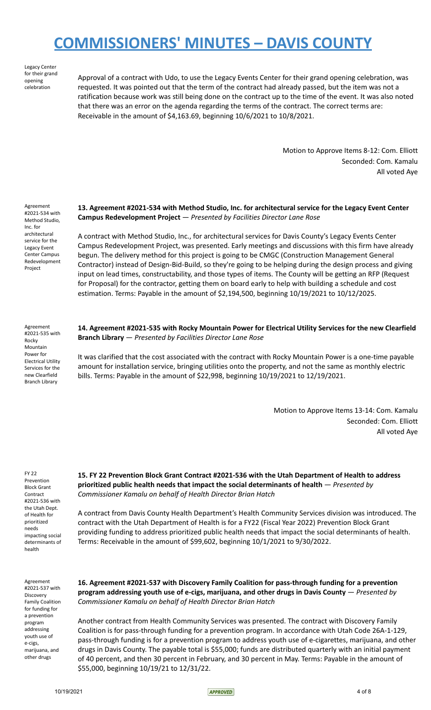Legacy Center for their grand opening celebration

Approval of a contract with Udo, to use the Legacy Events Center for their grand opening celebration, was requested. It was pointed out that the term of the contract had already passed, but the item was not a ratification because work was still being done on the contract up to the time of the event. It was also noted that there was an error on the agenda regarding the terms of the contract. The correct terms are: Receivable in the amount of \$4,163.69, beginning 10/6/2021 to 10/8/2021.

> Motion to Approve Items 8-12: Com. Elliott Seconded: Com. Kamalu All voted Aye

Agreement #2021-534 with Method Studio, Inc. for architectural service for the Legacy Event Center Campus Redevelopment Project

**13. Agreement #2021-534 with Method Studio, Inc. for architectural service for the Legacy Event Center Campus Redevelopment Project** — *Presented by Facilities Director Lane Rose*

A contract with Method Studio, Inc., for architectural services for Davis County's Legacy Events Center Campus Redevelopment Project, was presented. Early meetings and discussions with this firm have already begun. The delivery method for this project is going to be CMGC (Construction Management General Contractor) instead of Design-Bid-Build, so they're going to be helping during the design process and giving input on lead times, constructability, and those types of items. The County will be getting an RFP (Request for Proposal) for the contractor, getting them on board early to help with building a schedule and cost estimation. Terms: Payable in the amount of \$2,194,500, beginning 10/19/2021 to 10/12/2025.

Agreement #2021-535 with Rocky Mountain Power for Electrical Utility Services for the new Clearfield Branch Library

**14. Agreement #2021-535 with Rocky Mountain Power for Electrical Utility Services for the new Clearfield Branch Library** — *Presented by Facilities Director Lane Rose*

It was clarified that the cost associated with the contract with Rocky Mountain Power is a one-time payable amount for installation service, bringing utilities onto the property, and not the same as monthly electric bills. Terms: Payable in the amount of \$22,998, beginning 10/19/2021 to 12/19/2021.

> Motion to Approve Items 13-14: Com. Kamalu Seconded: Com. Elliott All voted Aye

FY 22 Prevention Block Grant Contract #2021-536 with the Utah Dept. of Health for prioritized needs impacting social determinants of health

**15. FY 22 Prevention Block Grant Contract #2021-536 with the Utah Department of Health to address prioritized public health needs that impact the social determinants of health** — *Presented by Commissioner Kamalu on behalf of Health Director Brian Hatch*

A contract from Davis County Health Department's Health Community Services division was introduced. The contract with the Utah Department of Health is for a FY22 (Fiscal Year 2022) Prevention Block Grant providing funding to address prioritized public health needs that impact the social determinants of health. Terms: Receivable in the amount of \$99,602, beginning 10/1/2021 to 9/30/2022.

Agreement #2021-537 with Discovery Family Coalition for funding for a prevention program addressing youth use of e-cigs, marijuana, and other drugs

**16. Agreement #2021-537 with Discovery Family Coalition for pass-through funding for a prevention program addressing youth use of e-cigs, marijuana, and other drugs in Davis County** — *Presented by Commissioner Kamalu on behalf of Health Director Brian Hatch*

Another contract from Health Community Services was presented. The contract with Discovery Family Coalition is for pass-through funding for a prevention program. In accordance with Utah Code 26A-1-129, pass-through funding is for a prevention program to address youth use of e-cigarettes, marijuana, and other drugs in Davis County. The payable total is \$55,000; funds are distributed quarterly with an initial payment of 40 percent, and then 30 percent in February, and 30 percent in May. Terms: Payable in the amount of \$55,000, beginning 10/19/21 to 12/31/22.

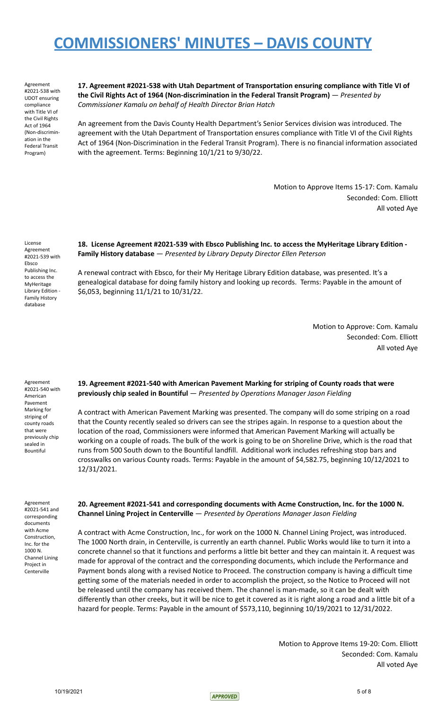Agreement #2021-538 with UDOT ensuring compliance with Title VI of the Civil Rights Act of 1964 (Non-discrimination in the Federal Transit Program)

### **17. Agreement #2021-538 with Utah Department of Transportation ensuring compliance with Title VI of the Civil Rights Act of 1964 (Non-discrimination in the Federal Transit Program)** — *Presented by Commissioner Kamalu on behalf of Health Director Brian Hatch*

An agreement from the Davis County Health Department's Senior Services division was introduced. The agreement with the Utah Department of Transportation ensures compliance with Title VI of the Civil Rights Act of 1964 (Non-Discrimination in the Federal Transit Program). There is no financial information associated with the agreement. Terms: Beginning 10/1/21 to 9/30/22.

> Motion to Approve Items 15-17: Com. Kamalu Seconded: Com. Elliott All voted Aye

License Agreement #2021-539 with Ebsco Publishing Inc. to access the MyHeritage Library Edition - Family History database

### **18. License Agreement #2021-539 with Ebsco Publishing Inc. to access the MyHeritage Library Edition - Family History database** — *Presented by Library Deputy Director Ellen Peterson*

A renewal contract with Ebsco, for their My Heritage Library Edition database, was presented. It's a genealogical database for doing family history and looking up records. Terms: Payable in the amount of \$6,053, beginning 11/1/21 to 10/31/22.

> Motion to Approve: Com. Kamalu Seconded: Com. Elliott All voted Aye

Agreement #2021-540 with American Pavement Marking for striping of county roads that were previously chip sealed in Bountiful

### **19. Agreement #2021-540 with American Pavement Marking for striping of County roads that were previously chip sealed in Bountiful** — *Presented by Operations Manager Jason Fielding*

A contract with American Pavement Marking was presented. The company will do some striping on a road that the County recently sealed so drivers can see the stripes again. In response to a question about the location of the road, Commissioners were informed that American Pavement Marking will actually be working on a couple of roads. The bulk of the work is going to be on Shoreline Drive, which is the road that runs from 500 South down to the Bountiful landfill. Additional work includes refreshing stop bars and crosswalks on various County roads. Terms: Payable in the amount of \$4,582.75, beginning 10/12/2021 to 12/31/2021.

Agreement #2021-541 and corresponding documents with Acme Construction, Inc. for the 1000 N. Channel Lining Project in **Centerville** 

**20. Agreement #2021-541 and corresponding documents with Acme Construction, Inc. for the 1000 N. Channel Lining Project in Centerville** — *Presented by Operations Manager Jason Fielding*

A contract with Acme Construction, Inc., for work on the 1000 N. Channel Lining Project, was introduced. The 1000 North drain, in Centerville, is currently an earth channel. Public Works would like to turn it into a concrete channel so that it functions and performs a little bit better and they can maintain it. A request was made for approval of the contract and the corresponding documents, which include the Performance and Payment bonds along with a revised Notice to Proceed. The construction company is having a difficult time getting some of the materials needed in order to accomplish the project, so the Notice to Proceed will not be released until the company has received them. The channel is man-made, so it can be dealt with differently than other creeks, but it will be nice to get it covered as it is right along a road and a little bit of a hazard for people. Terms: Payable in the amount of \$573,110, beginning 10/19/2021 to 12/31/2022.

> Motion to Approve Items 19-20: Com. Elliott Seconded: Com. Kamalu All voted Aye

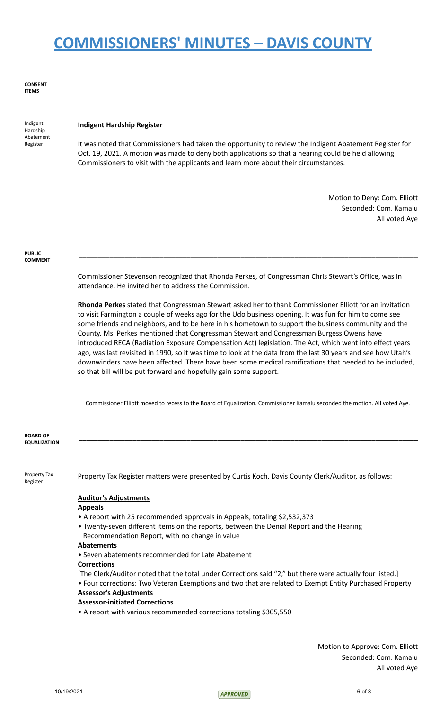**CONSENT ITEMS**

Indigent Hardship Abatement Register

### **Indigent Hardship Register**

It was noted that Commissioners had taken the opportunity to review the Indigent Abatement Register for Oct. 19, 2021. A motion was made to deny both applications so that a hearing could be held allowing Commissioners to visit with the applicants and learn more about their circumstances.

**\_\_\_\_\_\_\_\_\_\_\_\_\_\_\_\_\_\_\_\_\_\_\_\_\_\_\_\_\_\_\_\_\_\_\_\_\_\_\_\_\_\_\_\_\_\_\_\_\_\_\_\_\_\_\_\_\_\_\_\_\_\_\_\_\_\_\_\_\_\_\_\_\_\_\_\_\_\_\_\_\_\_\_\_\_\_\_\_**

Motion to Deny: Com. Elliott Seconded: Com. Kamalu All voted Aye

**PUBLIC COMMENT**

> Commissioner Stevenson recognized that Rhonda Perkes, of Congressman Chris Stewart's Office, was in attendance. He invited her to address the Commission.

**\_\_\_\_\_\_\_\_\_\_\_\_\_\_\_\_\_\_\_\_\_\_\_\_\_\_\_\_\_\_\_\_\_\_\_\_\_\_\_\_\_\_\_\_\_\_\_\_\_\_\_\_\_\_\_\_\_\_\_\_\_\_\_\_\_\_\_\_\_\_\_\_\_\_\_\_\_\_\_\_\_\_\_\_\_\_\_\_**

**Rhonda Perkes** stated that Congressman Stewart asked her to thank Commissioner Elliott for an invitation to visit Farmington a couple of weeks ago for the Udo business opening. It was fun for him to come see some friends and neighbors, and to be here in his hometown to support the business community and the County. Ms. Perkes mentioned that Congressman Stewart and Congressman Burgess Owens have introduced RECA (Radiation Exposure Compensation Act) legislation. The Act, which went into effect years ago, was last revisited in 1990, so it was time to look at the data from the last 30 years and see how Utah's downwinders have been affected. There have been some medical ramifications that needed to be included, so that bill will be put forward and hopefully gain some support.

Commissioner Elliott moved to recess to the Board of Equalization. Commissioner Kamalu seconded the motion. All voted Aye.

**\_\_\_\_\_\_\_\_\_\_\_\_\_\_\_\_\_\_\_\_\_\_\_\_\_\_\_\_\_\_\_\_\_\_\_\_\_\_\_\_\_\_\_\_\_\_\_\_\_\_\_\_\_\_\_\_\_\_\_\_\_\_\_\_\_\_\_\_\_\_\_\_\_\_\_\_\_\_\_\_\_\_\_\_\_\_\_\_**

**BOARD OF EQUALIZATION**

Property Tax Register

Property Tax Register matters were presented by Curtis Koch, Davis County Clerk/Auditor, as follows:

### **Auditor's Adjustments**

### **Appeals**

- A report with 25 recommended approvals in Appeals, totaling \$2,532,373
- Twenty-seven different items on the reports, between the Denial Report and the Hearing Recommendation Report, with no change in value

### **Abatements**

• Seven abatements recommended for Late Abatement

### **Corrections**

[The Clerk/Auditor noted that the total under Corrections said "2," but there were actually four listed.]

• Four corrections: Two Veteran Exemptions and two that are related to Exempt Entity Purchased Property **Assessor's Adjustments**

### **Assessor-initiated Corrections**

• A report with various recommended corrections totaling \$305,550

Motion to Approve: Com. Elliott Seconded: Com. Kamalu All voted Aye

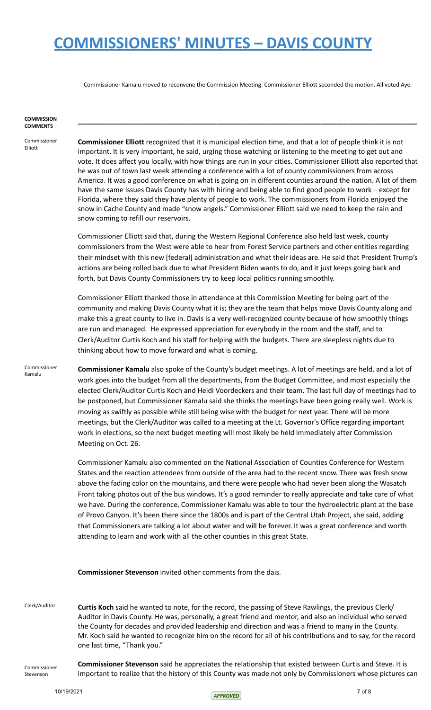Commissioner Kamalu moved to reconvene the Commission Meeting. Commissioner Elliott seconded the motion. All voted Aye.

**\_\_\_\_\_\_\_\_\_\_\_\_\_\_\_\_\_\_\_\_\_\_\_\_\_\_\_\_\_\_\_\_\_\_\_\_\_\_\_\_\_\_\_\_\_\_\_\_\_\_\_\_\_\_\_\_\_\_\_\_\_\_\_\_\_\_\_\_\_\_\_\_\_\_\_\_\_\_\_\_\_\_\_\_\_\_\_\_**

#### **COMMISSION COMMENTS**

Commissioner Elliott

**Commissioner Elliott** recognized that it is municipal election time, and that a lot of people think it is not important. It is very important, he said, urging those watching or listening to the meeting to get out and vote. It does affect you locally, with how things are run in your cities. Commissioner Elliott also reported that he was out of town last week attending a conference with a lot of county commissioners from across America. It was a good conference on what is going on in different counties around the nation. A lot of them have the same issues Davis County has with hiring and being able to find good people to work – except for Florida, where they said they have plenty of people to work. The commissioners from Florida enjoyed the snow in Cache County and made "snow angels." Commissioner Elliott said we need to keep the rain and snow coming to refill our reservoirs.

Commissioner Elliott said that, during the Western Regional Conference also held last week, county commissioners from the West were able to hear from Forest Service partners and other entities regarding their mindset with this new [federal] administration and what their ideas are. He said that President Trump's actions are being rolled back due to what President Biden wants to do, and it just keeps going back and forth, but Davis County Commissioners try to keep local politics running smoothly.

Commissioner Elliott thanked those in attendance at this Commission Meeting for being part of the community and making Davis County what it is; they are the team that helps move Davis County along and make this a great county to live in. Davis is a very well-recognized county because of how smoothly things are run and managed. He expressed appreciation for everybody in the room and the staff, and to Clerk/Auditor Curtis Koch and his staff for helping with the budgets. There are sleepless nights due to thinking about how to move forward and what is coming.

Commissioner Kamalu

**Commissioner Kamalu** also spoke of the County's budget meetings. A lot of meetings are held, and a lot of work goes into the budget from all the departments, from the Budget Committee, and most especially the elected Clerk/Auditor Curtis Koch and Heidi Voordeckers and their team. The last full day of meetings had to be postponed, but Commissioner Kamalu said she thinks the meetings have been going really well. Work is moving as swiftly as possible while still being wise with the budget for next year. There will be more meetings, but the Clerk/Auditor was called to a meeting at the Lt. Governor's Office regarding important work in elections, so the next budget meeting will most likely be held immediately after Commission Meeting on Oct. 26.

Commissioner Kamalu also commented on the National Association of Counties Conference for Western States and the reaction attendees from outside of the area had to the recent snow. There was fresh snow above the fading color on the mountains, and there were people who had never been along the Wasatch Front taking photos out of the bus windows. It's a good reminder to really appreciate and take care of what we have. During the conference, Commissioner Kamalu was able to tour the hydroelectric plant at the base of Provo Canyon. It's been there since the 1800s and is part of the Central Utah Project, she said, adding that Commissioners are talking a lot about water and will be forever. It was a great conference and worth attending to learn and work with all the other counties in this great State.

**Commissioner Stevenson** invited other comments from the dais.

Clerk/Auditor **Curtis Koch** said he wanted to note, for the record, the passing of Steve Rawlings, the previous Clerk/ Auditor in Davis County. He was, personally, a great friend and mentor, and also an individual who served the County for decades and provided leadership and direction and was a friend to many in the County. Mr. Koch said he wanted to recognize him on the record for all of his contributions and to say, for the record one last time, "Thank you."

Commissioner Stevenson

**Commissioner Stevenson** said he appreciates the relationship that existed between Curtis and Steve. It is important to realize that the history of this County was made not only by Commissioners whose pictures can